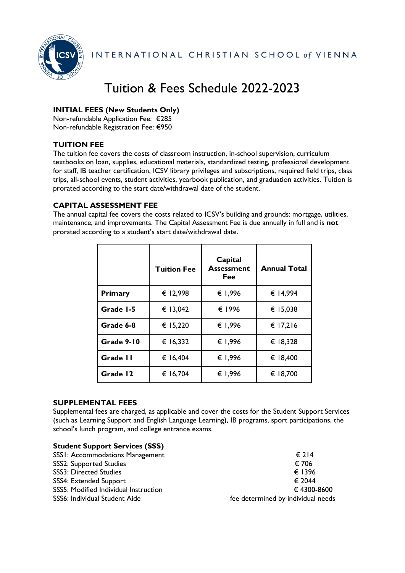

INTERNATIONAL CHRISTIAN SCHOOL of VIENNA

# Tuition & Fees Schedule 2022-2023

## **INITIAL FEES (New Students Only)**

Non-refundable Application Fee: €285 Non-refundable Registration Fee: €950

## **TUITION FEE**

The tuition fee covers the costs of classroom instruction, in-school supervision, curriculum textbooks on loan, supplies, educational materials, standardized testing, professional development for staff, IB teacher certification, ICSV library privileges and subscriptions, required field trips, class trips, all-school events, student activities, yearbook publication, and graduation activities. Tuition is prorated according to the start date/withdrawal date of the student.

## **CAPITAL ASSESSMENT FEE**

The annual capital fee covers the costs related to ICSV's building and grounds: mortgage, utilities, maintenance, and improvements. The Capital Assessment Fee is due annually in full and is **not** prorated according to a student's start date/withdrawal date.

|            | <b>Tuition Fee</b> | Capital<br><b>Assessment</b><br>Fee | <b>Annual Total</b> |
|------------|--------------------|-------------------------------------|---------------------|
| Primary    | € 12,998           | € 1,996                             | € 14,994            |
| Grade 1-5  | € 13,042           | € 1996                              | € 15,038            |
| Grade 6-8  | € 15,220           | € 1,996                             | € 17,216            |
| Grade 9-10 | € 16,332           | € 1,996                             | € 18,328            |
| Grade II   | € 16,404           | € 1,996                             | € 18,400            |
| Grade 12   | € 16,704           | € 1,996                             | € 18,700            |

## **SUPPLEMENTAL FEES**

Supplemental fees are charged, as applicable and cover the costs for the Student Support Services (such as Learning Support and English Language Learning), IB programs, sport participations, the school's lunch program, and college entrance exams.

| <b>Student Support Services (SSS)</b> |                                    |
|---------------------------------------|------------------------------------|
| SSSI: Accommodations Management       | $\epsilon$ 214                     |
| <b>SSS2: Supported Studies</b>        | € 706                              |
| <b>SSS3: Directed Studies</b>         | € 1396                             |
| SSS4: Extended Support                | € 2044                             |
| SSS5: Modified Individual Instruction | € 4300-8600                        |
| SSS6: Individual Student Aide         | fee determined by individual needs |